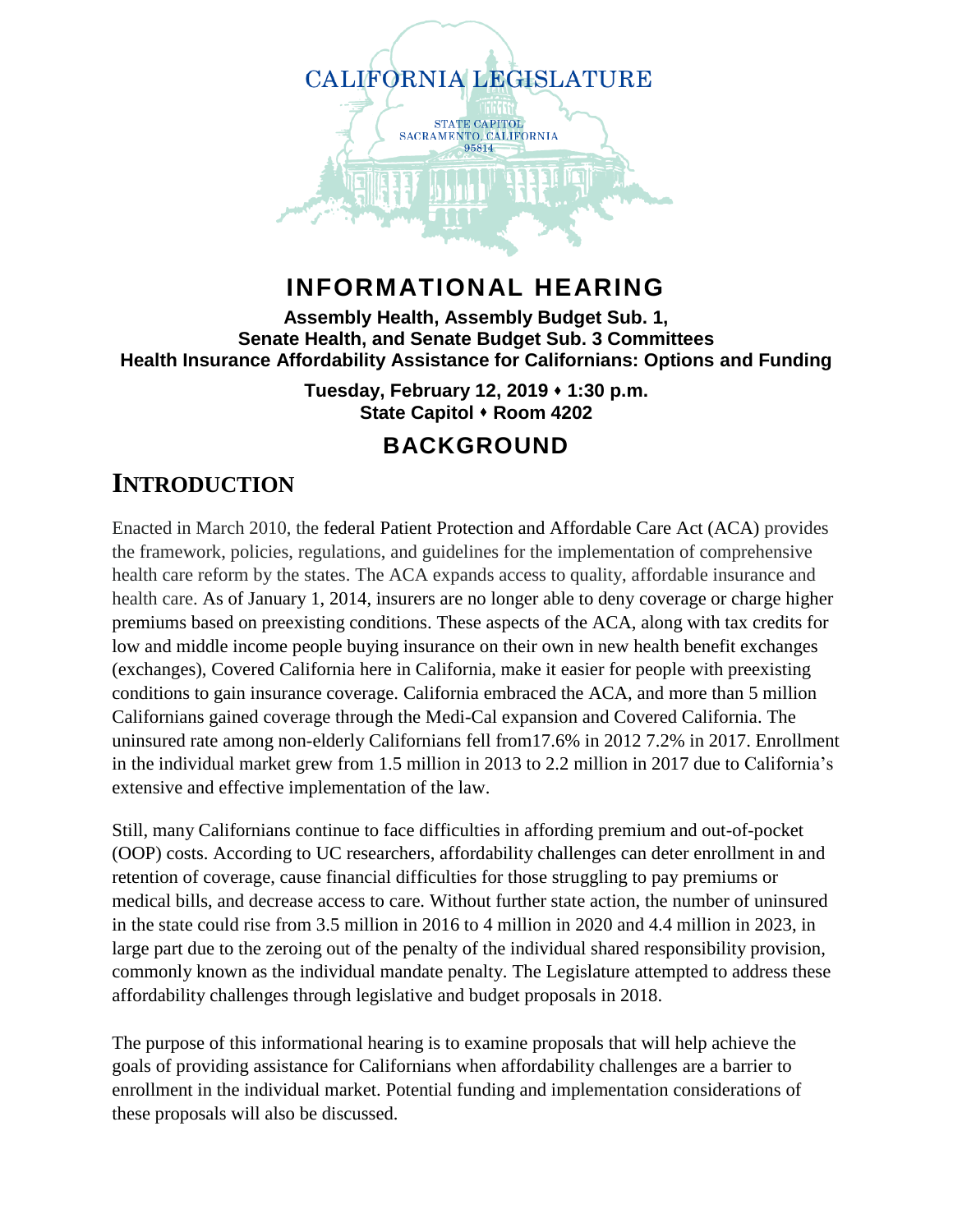

## **INFORMATIONAL HEARING**

**Assembly Health, Assembly Budget Sub. 1, Senate Health, and Senate Budget Sub. 3 Committees Health Insurance Affordability Assistance for Californians: Options and Funding**

> **Tuesday, February 12, 2019 1:30 p.m. State Capitol Room 4202**

### **BACKGROUND**

## **INTRODUCTION**

Enacted in March 2010, the federal Patient Protection and Affordable Care Act (ACA) provides the framework, policies, regulations, and guidelines for the implementation of comprehensive health care reform by the states. The ACA expands access to quality, affordable insurance and health care. As of January 1, 2014, insurers are no longer able to deny coverage or charge higher premiums based on preexisting conditions. These aspects of the ACA, along with tax credits for low and middle income people buying insurance on their own in new health benefit exchanges (exchanges), Covered California here in California, make it easier for people with preexisting conditions to gain insurance coverage. California embraced the ACA, and more than 5 million Californians gained coverage through the Medi-Cal expansion and Covered California. The uninsured rate among non-elderly Californians fell from17.6% in 2012 7.2% in 2017. Enrollment in the individual market grew from 1.5 million in 2013 to 2.2 million in 2017 due to California's extensive and effective implementation of the law.

Still, many Californians continue to face difficulties in affording premium and out-of-pocket (OOP) costs. According to UC researchers, affordability challenges can deter enrollment in and retention of coverage, cause financial difficulties for those struggling to pay premiums or medical bills, and decrease access to care. Without further state action, the number of uninsured in the state could rise from 3.5 million in 2016 to 4 million in 2020 and 4.4 million in 2023, in large part due to the zeroing out of the penalty of the individual shared responsibility provision, commonly known as the individual mandate penalty. The Legislature attempted to address these affordability challenges through legislative and budget proposals in 2018.

The purpose of this informational hearing is to examine proposals that will help achieve the goals of providing assistance for Californians when affordability challenges are a barrier to enrollment in the individual market. Potential funding and implementation considerations of these proposals will also be discussed.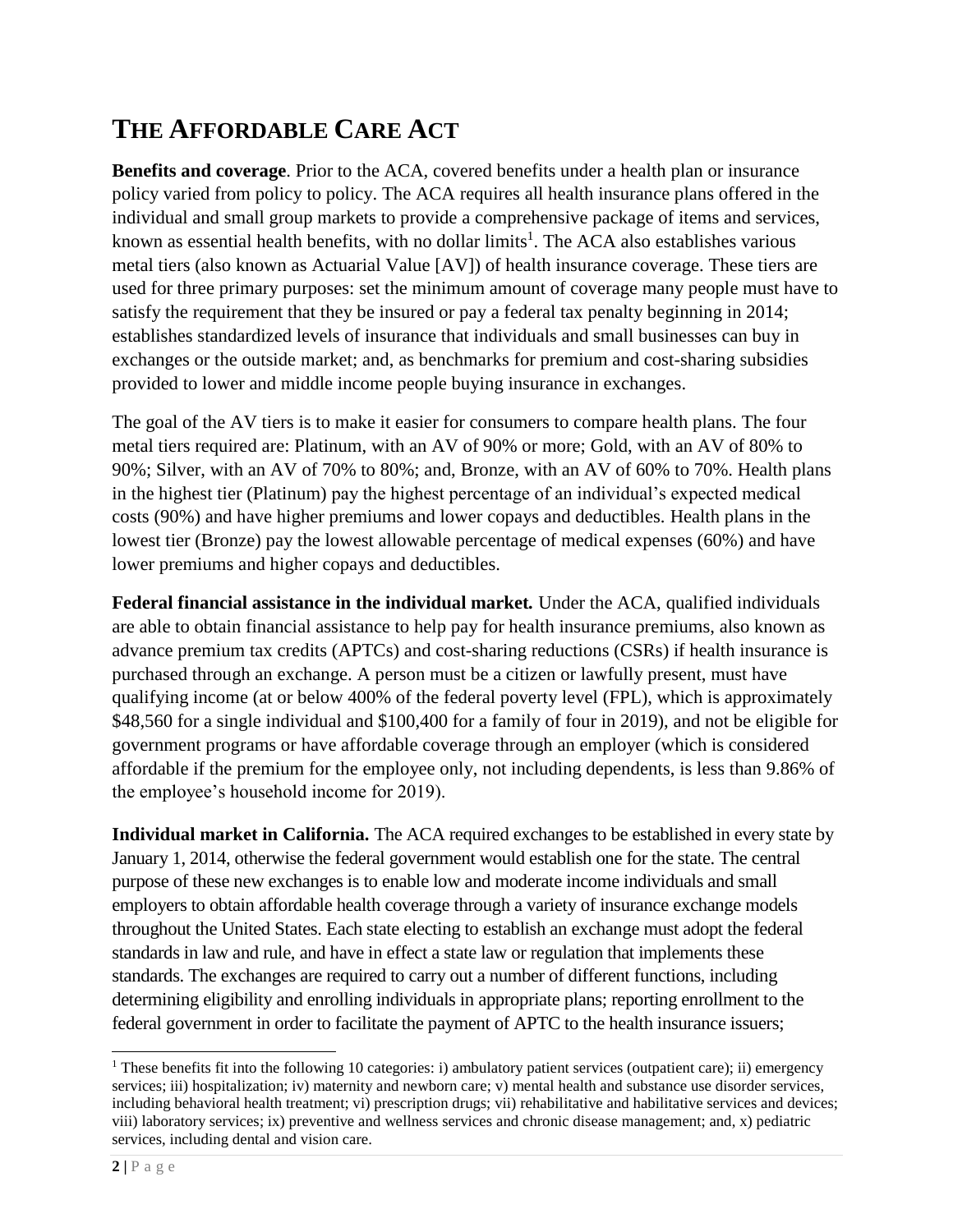# **THE AFFORDABLE CARE ACT**

**Benefits and coverage**. Prior to the ACA, covered benefits under a health plan or insurance policy varied from policy to policy. The ACA requires all health insurance plans offered in the individual and small group markets to provide a comprehensive package of items and services, known as essential health benefits, with no dollar limits<sup>1</sup>. The ACA also establishes various metal tiers (also known as Actuarial Value [AV]) of health insurance coverage. These tiers are used for three primary purposes: set the minimum amount of coverage many people must have to satisfy the requirement that they be insured or pay a federal tax penalty beginning in 2014; establishes standardized levels of insurance that individuals and small businesses can buy in exchanges or the outside market; and, as benchmarks for premium and cost-sharing subsidies provided to lower and middle income people buying insurance in exchanges.

The goal of the AV tiers is to make it easier for consumers to compare health plans. The four metal tiers required are: Platinum, with an AV of 90% or more; Gold, with an AV of 80% to 90%; Silver, with an AV of 70% to 80%; and, Bronze, with an AV of 60% to 70%. Health plans in the highest tier (Platinum) pay the highest percentage of an individual's expected medical costs (90%) and have higher premiums and lower copays and deductibles. Health plans in the lowest tier (Bronze) pay the lowest allowable percentage of medical expenses (60%) and have lower premiums and higher copays and deductibles.

**Federal financial assistance in the individual market***.* Under the ACA, qualified individuals are able to obtain financial assistance to help pay for health insurance premiums, also known as advance premium tax credits (APTCs) and cost-sharing reductions (CSRs) if health insurance is purchased through an exchange. A person must be a citizen or lawfully present, must have qualifying income (at or below 400% of the federal poverty level (FPL), which is approximately \$48,560 for a single individual and \$100,400 for a family of four in 2019), and not be eligible for government programs or have affordable coverage through an employer (which is considered affordable if the premium for the employee only, not including dependents, is less than 9.86% of the employee's household income for 2019).

**Individual market in California.** The ACA required exchanges to be established in every state by January 1, 2014, otherwise the federal government would establish one for the state. The central purpose of these new exchanges is to enable low and moderate income individuals and small employers to obtain affordable health coverage through a variety of insurance exchange models throughout the United States. Each state electing to establish an exchange must adopt the federal standards in law and rule, and have in effect a state law or regulation that implements these standards. The exchanges are required to carry out a number of different functions, including determining eligibility and enrolling individuals in appropriate plans; reporting enrollment to the federal government in order to facilitate the payment of APTC to the health insurance issuers;

l

<sup>&</sup>lt;sup>1</sup> These benefits fit into the following 10 categories: i) ambulatory patient services (outpatient care); ii) emergency services; iii) hospitalization; iv) maternity and newborn care; v) mental health and substance use disorder services, including behavioral health treatment; vi) prescription drugs; vii) rehabilitative and habilitative services and devices; viii) laboratory services; ix) preventive and wellness services and chronic disease management; and, x) pediatric services, including dental and vision care.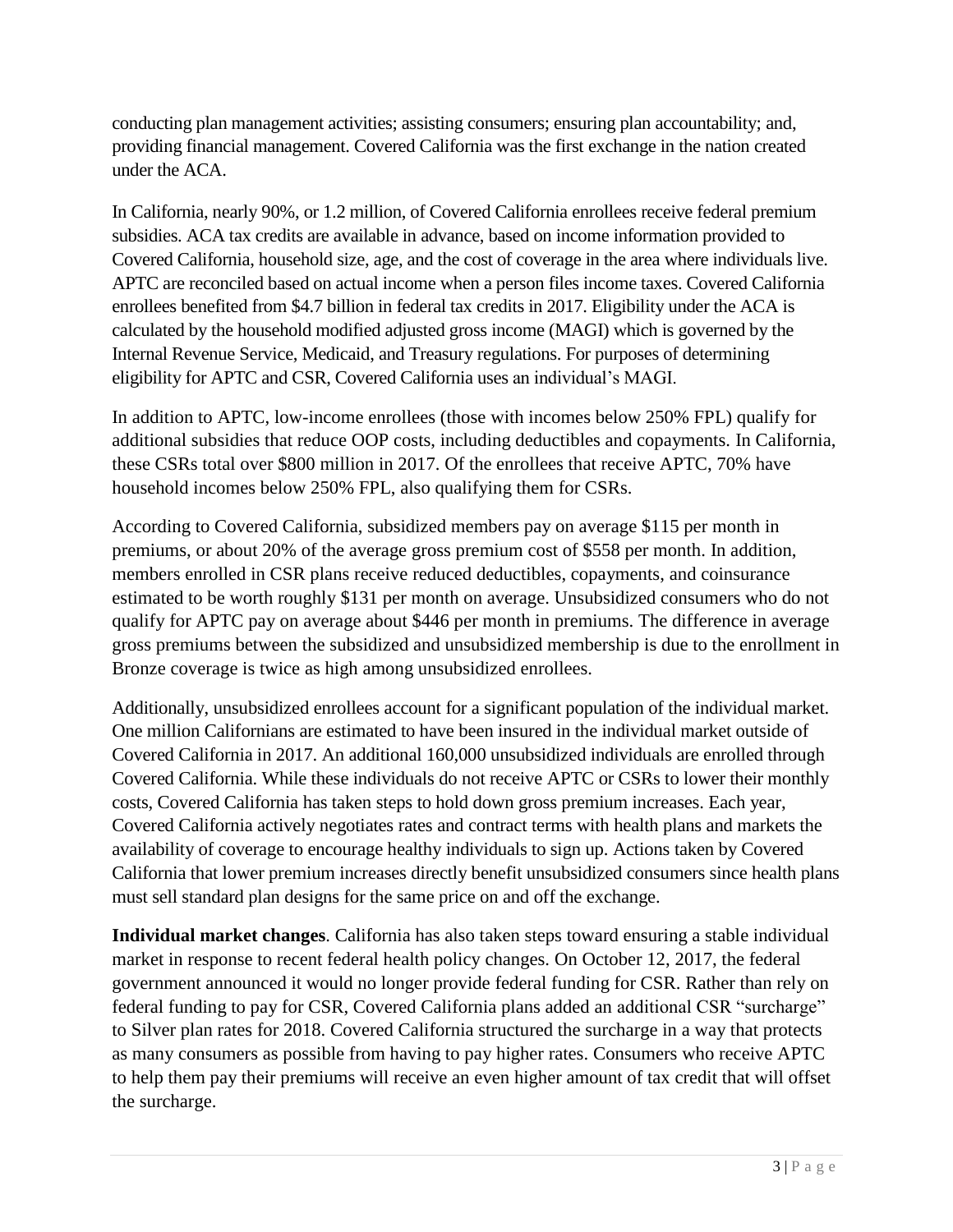conducting plan management activities; assisting consumers; ensuring plan accountability; and, providing financial management. Covered California was the first exchange in the nation created under the ACA.

In California, nearly 90%, or 1.2 million, of Covered California enrollees receive federal premium subsidies. ACA tax credits are available in advance, based on income information provided to Covered California, household size, age, and the cost of coverage in the area where individuals live. APTC are reconciled based on actual income when a person files income taxes. Covered California enrollees benefited from \$4.7 billion in federal tax credits in 2017. Eligibility under the ACA is calculated by the household modified adjusted gross income (MAGI) which is governed by the Internal Revenue Service, Medicaid, and Treasury regulations. For purposes of determining eligibility for APTC and CSR, Covered California uses an individual's MAGI.

In addition to APTC, low-income enrollees (those with incomes below 250% FPL) qualify for additional subsidies that reduce OOP costs, including deductibles and copayments. In California, these CSRs total over \$800 million in 2017. Of the enrollees that receive APTC, 70% have household incomes below 250% FPL, also qualifying them for CSRs.

According to Covered California, subsidized members pay on average \$115 per month in premiums, or about 20% of the average gross premium cost of \$558 per month. In addition, members enrolled in CSR plans receive reduced deductibles, copayments, and coinsurance estimated to be worth roughly \$131 per month on average. Unsubsidized consumers who do not qualify for APTC pay on average about \$446 per month in premiums. The difference in average gross premiums between the subsidized and unsubsidized membership is due to the enrollment in Bronze coverage is twice as high among unsubsidized enrollees.

Additionally, unsubsidized enrollees account for a significant population of the individual market. One million Californians are estimated to have been insured in the individual market outside of Covered California in 2017. An additional 160,000 unsubsidized individuals are enrolled through Covered California. While these individuals do not receive APTC or CSRs to lower their monthly costs, Covered California has taken steps to hold down gross premium increases. Each year, Covered California actively negotiates rates and contract terms with health plans and markets the availability of coverage to encourage healthy individuals to sign up. Actions taken by Covered California that lower premium increases directly benefit unsubsidized consumers since health plans must sell standard plan designs for the same price on and off the exchange.

**Individual market changes**. California has also taken steps toward ensuring a stable individual market in response to recent federal health policy changes. On October 12, 2017, the federal government announced it would no longer provide federal funding for CSR. Rather than rely on federal funding to pay for CSR, Covered California plans added an additional CSR "surcharge" to Silver plan rates for 2018. Covered California structured the surcharge in a way that protects as many consumers as possible from having to pay higher rates. Consumers who receive APTC to help them pay their premiums will receive an even higher amount of tax credit that will offset the surcharge.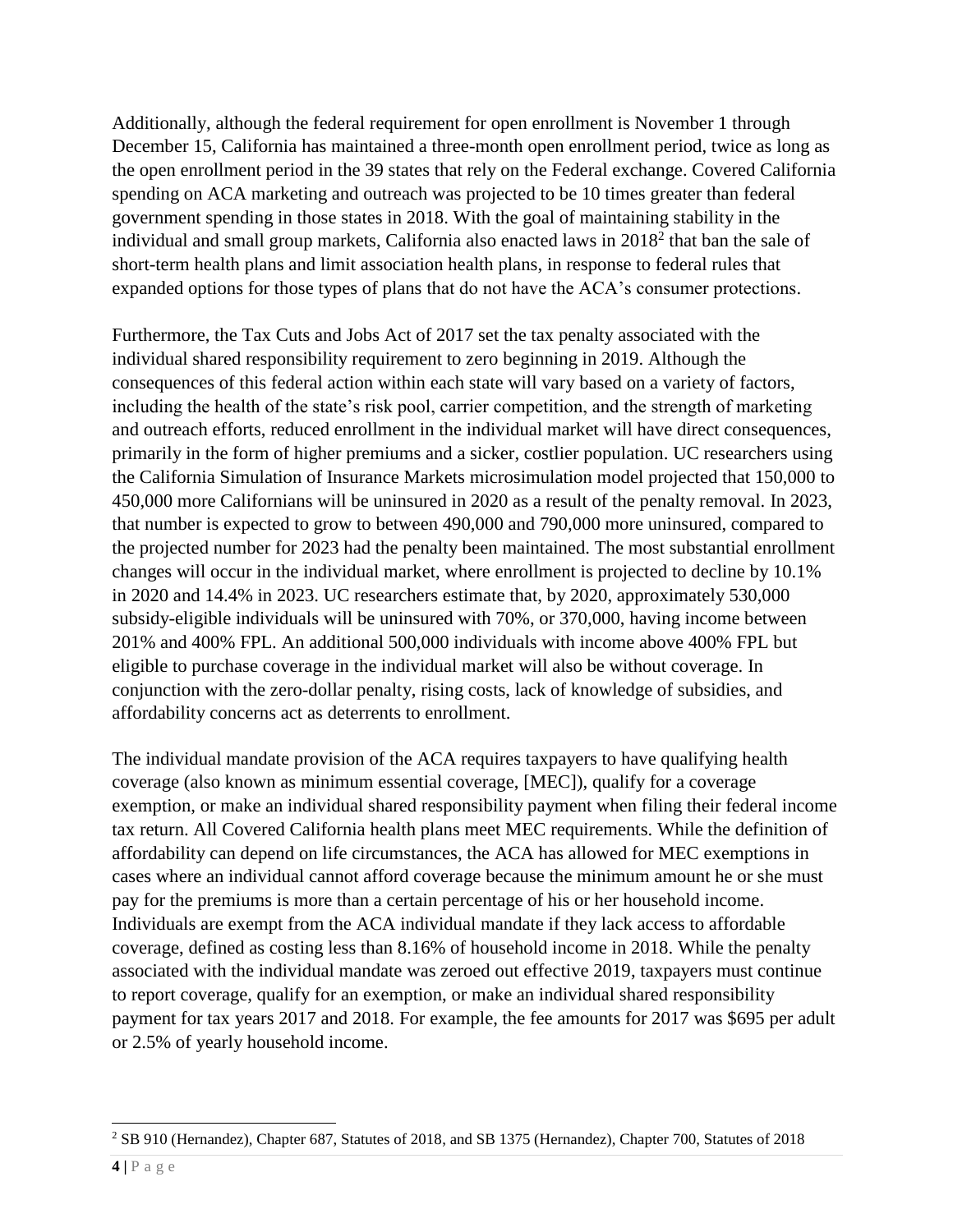Additionally, although the federal requirement for open enrollment is November 1 through December 15, California has maintained a three-month open enrollment period, twice as long as the open enrollment period in the 39 states that rely on the Federal exchange. Covered California spending on ACA marketing and outreach was projected to be 10 times greater than federal government spending in those states in 2018. With the goal of maintaining stability in the individual and small group markets, California also enacted laws in 2018<sup>2</sup> that ban the sale of short-term health plans and limit association health plans, in response to federal rules that expanded options for those types of plans that do not have the ACA's consumer protections.

Furthermore, the Tax Cuts and Jobs Act of 2017 set the tax penalty associated with the individual shared responsibility requirement to zero beginning in 2019. Although the consequences of this federal action within each state will vary based on a variety of factors, including the health of the state's risk pool, carrier competition, and the strength of marketing and outreach efforts, reduced enrollment in the individual market will have direct consequences, primarily in the form of higher premiums and a sicker, costlier population. UC researchers using the California Simulation of Insurance Markets microsimulation model projected that 150,000 to 450,000 more Californians will be uninsured in 2020 as a result of the penalty removal. In 2023, that number is expected to grow to between 490,000 and 790,000 more uninsured, compared to the projected number for 2023 had the penalty been maintained. The most substantial enrollment changes will occur in the individual market, where enrollment is projected to decline by 10.1% in 2020 and 14.4% in 2023. UC researchers estimate that, by 2020, approximately 530,000 subsidy-eligible individuals will be uninsured with 70%, or 370,000, having income between 201% and 400% FPL. An additional 500,000 individuals with income above 400% FPL but eligible to purchase coverage in the individual market will also be without coverage. In conjunction with the zero-dollar penalty, rising costs, lack of knowledge of subsidies, and affordability concerns act as deterrents to enrollment.

The individual mandate provision of the ACA requires taxpayers to have qualifying health coverage (also known as minimum essential coverage, [MEC]), qualify for a coverage exemption, or make an individual shared responsibility payment when filing their federal income tax return. All Covered California health plans meet MEC requirements. While the definition of affordability can depend on life circumstances, the ACA has allowed for MEC exemptions in cases where an individual cannot afford coverage because the minimum amount he or she must pay for the premiums is more than a certain percentage of his or her household income. Individuals are exempt from the ACA individual mandate if they lack access to affordable coverage, defined as costing less than 8.16% of household income in 2018. While the penalty associated with the individual mandate was zeroed out effective 2019, taxpayers must continue to report coverage, qualify for an exemption, or make an individual shared responsibility payment for tax years 2017 and 2018. For example, the fee amounts for 2017 was \$695 per adult or 2.5% of yearly household income.

 $\overline{a}$ <sup>2</sup> SB 910 (Hernandez), Chapter 687, Statutes of 2018, and SB 1375 (Hernandez), Chapter 700, Statutes of 2018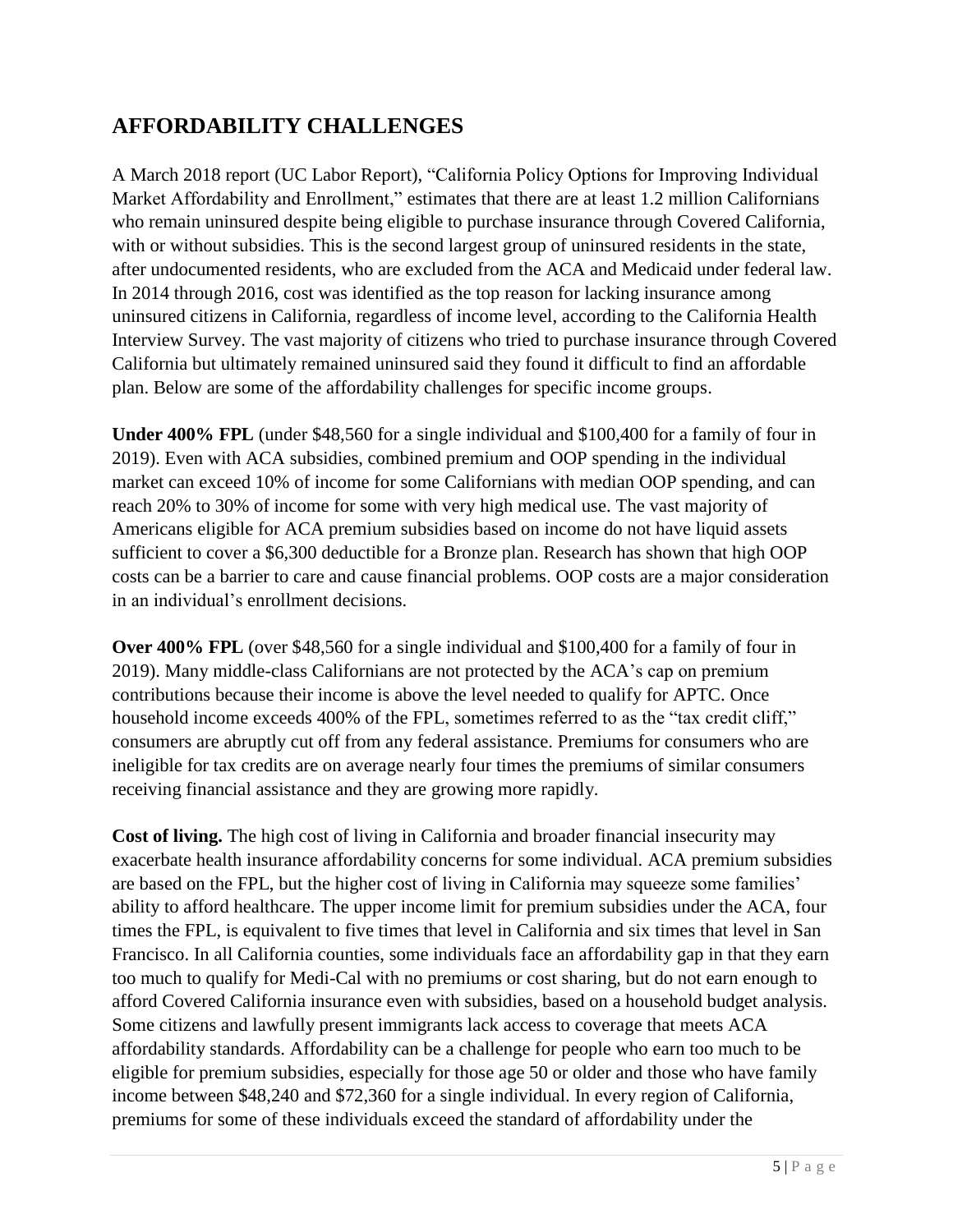#### **AFFORDABILITY CHALLENGES**

A March 2018 report (UC Labor Report), "California Policy Options for Improving Individual Market Affordability and Enrollment," estimates that there are at least 1.2 million Californians who remain uninsured despite being eligible to purchase insurance through Covered California, with or without subsidies. This is the second largest group of uninsured residents in the state, after undocumented residents, who are excluded from the ACA and Medicaid under federal law. In 2014 through 2016, cost was identified as the top reason for lacking insurance among uninsured citizens in California, regardless of income level, according to the California Health Interview Survey. The vast majority of citizens who tried to purchase insurance through Covered California but ultimately remained uninsured said they found it difficult to find an affordable plan. Below are some of the affordability challenges for specific income groups.

**Under 400% FPL** (under \$48,560 for a single individual and \$100,400 for a family of four in 2019). Even with ACA subsidies, combined premium and OOP spending in the individual market can exceed 10% of income for some Californians with median OOP spending, and can reach 20% to 30% of income for some with very high medical use. The vast majority of Americans eligible for ACA premium subsidies based on income do not have liquid assets sufficient to cover a \$6,300 deductible for a Bronze plan. Research has shown that high OOP costs can be a barrier to care and cause financial problems. OOP costs are a major consideration in an individual's enrollment decisions.

**Over 400% FPL** (over \$48,560 for a single individual and \$100,400 for a family of four in 2019). Many middle-class Californians are not protected by the ACA's cap on premium contributions because their income is above the level needed to qualify for APTC. Once household income exceeds 400% of the FPL, sometimes referred to as the "tax credit cliff," consumers are abruptly cut off from any federal assistance. Premiums for consumers who are ineligible for tax credits are on average nearly four times the premiums of similar consumers receiving financial assistance and they are growing more rapidly.

**Cost of living.** The high cost of living in California and broader financial insecurity may exacerbate health insurance affordability concerns for some individual. ACA premium subsidies are based on the FPL, but the higher cost of living in California may squeeze some families' ability to afford healthcare. The upper income limit for premium subsidies under the ACA, four times the FPL, is equivalent to five times that level in California and six times that level in San Francisco. In all California counties, some individuals face an affordability gap in that they earn too much to qualify for Medi-Cal with no premiums or cost sharing, but do not earn enough to afford Covered California insurance even with subsidies, based on a household budget analysis. Some citizens and lawfully present immigrants lack access to coverage that meets ACA affordability standards. Affordability can be a challenge for people who earn too much to be eligible for premium subsidies, especially for those age 50 or older and those who have family income between \$48,240 and \$72,360 for a single individual. In every region of California, premiums for some of these individuals exceed the standard of affordability under the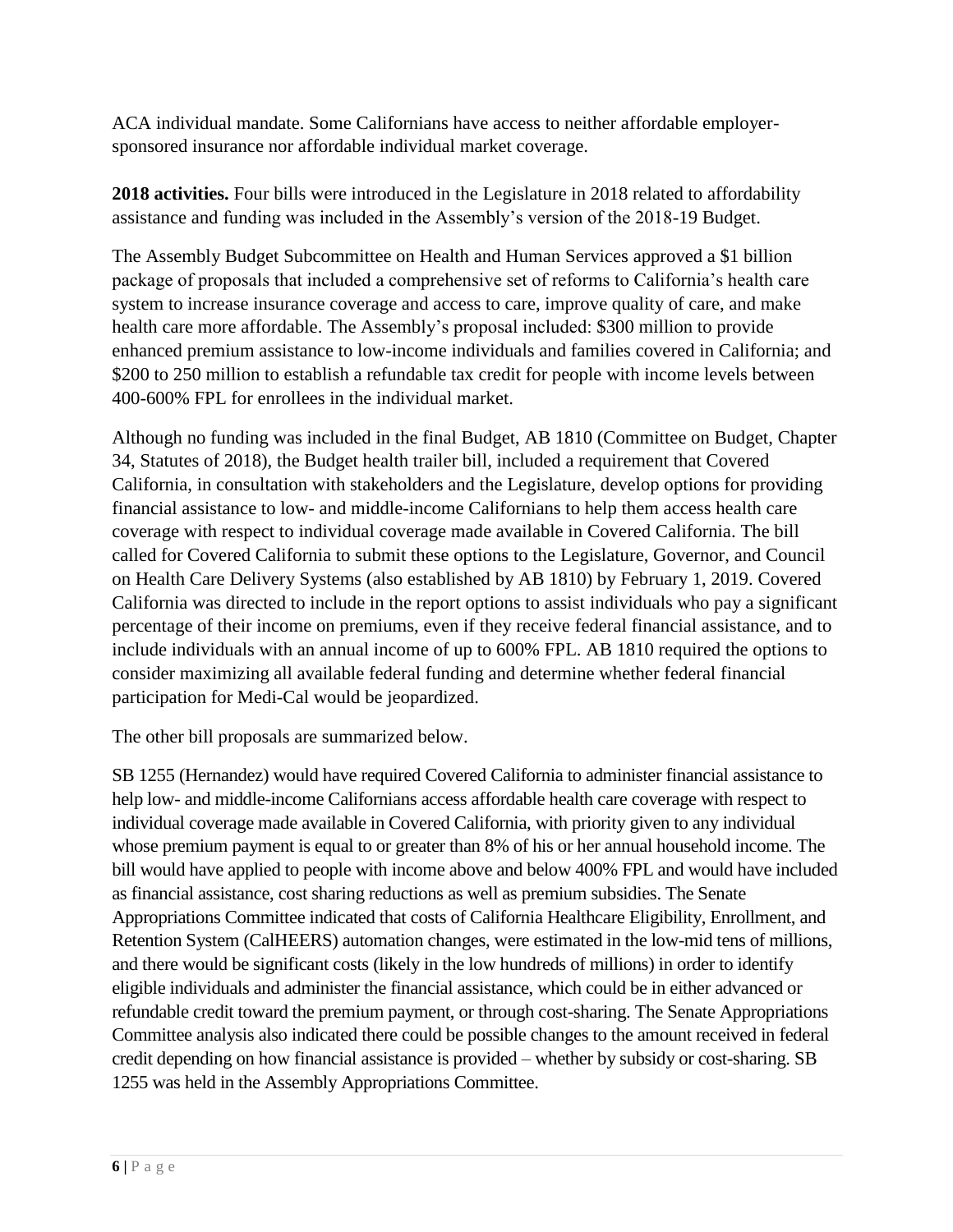ACA individual mandate. Some Californians have access to neither affordable employersponsored insurance nor affordable individual market coverage.

**2018 activities.** Four bills were introduced in the Legislature in 2018 related to affordability assistance and funding was included in the Assembly's version of the 2018-19 Budget.

The Assembly Budget Subcommittee on Health and Human Services approved a \$1 billion package of proposals that included a comprehensive set of reforms to California's health care system to increase insurance coverage and access to care, improve quality of care, and make health care more affordable. The Assembly's proposal included: \$300 million to provide enhanced premium assistance to low-income individuals and families covered in California; and \$200 to 250 million to establish a refundable tax credit for people with income levels between 400-600% FPL for enrollees in the individual market.

Although no funding was included in the final Budget, AB 1810 (Committee on Budget, Chapter 34, Statutes of 2018), the Budget health trailer bill, included a requirement that Covered California, in consultation with stakeholders and the Legislature, develop options for providing financial assistance to low- and middle-income Californians to help them access health care coverage with respect to individual coverage made available in Covered California. The bill called for Covered California to submit these options to the Legislature, Governor, and Council on Health Care Delivery Systems (also established by AB 1810) by February 1, 2019. Covered California was directed to include in the report options to assist individuals who pay a significant percentage of their income on premiums, even if they receive federal financial assistance, and to include individuals with an annual income of up to 600% FPL. AB 1810 required the options to consider maximizing all available federal funding and determine whether federal financial participation for Medi-Cal would be jeopardized.

The other bill proposals are summarized below.

SB 1255 (Hernandez) would have required Covered California to administer financial assistance to help low- and middle-income Californians access affordable health care coverage with respect to individual coverage made available in Covered California, with priority given to any individual whose premium payment is equal to or greater than 8% of his or her annual household income. The bill would have applied to people with income above and below 400% FPL and would have included as financial assistance, cost sharing reductions as well as premium subsidies. The Senate Appropriations Committee indicated that costs of California Healthcare Eligibility, Enrollment, and Retention System (CalHEERS) automation changes, were estimated in the low-mid tens of millions, and there would be significant costs (likely in the low hundreds of millions) in order to identify eligible individuals and administer the financial assistance, which could be in either advanced or refundable credit toward the premium payment, or through cost-sharing. The Senate Appropriations Committee analysis also indicated there could be possible changes to the amount received in federal credit depending on how financial assistance is provided – whether by subsidy or cost-sharing. SB 1255 was held in the Assembly Appropriations Committee.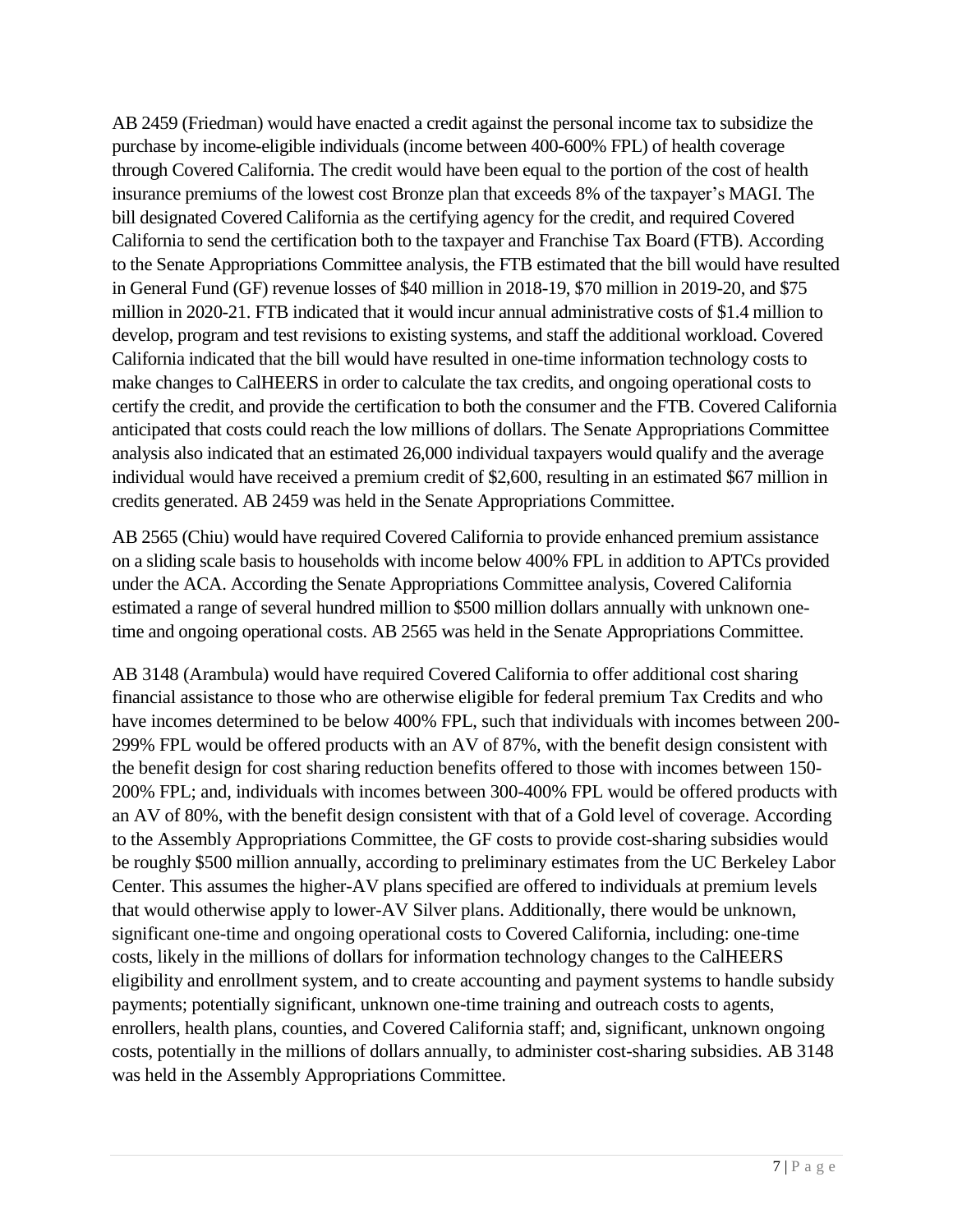AB 2459 (Friedman) would have enacted a credit against the personal income tax to subsidize the purchase by income-eligible individuals (income between 400-600% FPL) of health coverage through Covered California. The credit would have been equal to the portion of the cost of health insurance premiums of the lowest cost Bronze plan that exceeds 8% of the taxpayer's MAGI. The bill designated Covered California as the certifying agency for the credit, and required Covered California to send the certification both to the taxpayer and Franchise Tax Board (FTB). According to the Senate Appropriations Committee analysis, the FTB estimated that the bill would have resulted in General Fund (GF) revenue losses of \$40 million in 2018-19, \$70 million in 2019-20, and \$75 million in 2020-21. FTB indicated that it would incur annual administrative costs of \$1.4 million to develop, program and test revisions to existing systems, and staff the additional workload. Covered California indicated that the bill would have resulted in one-time information technology costs to make changes to CalHEERS in order to calculate the tax credits, and ongoing operational costs to certify the credit, and provide the certification to both the consumer and the FTB. Covered California anticipated that costs could reach the low millions of dollars. The Senate Appropriations Committee analysis also indicated that an estimated 26,000 individual taxpayers would qualify and the average individual would have received a premium credit of \$2,600, resulting in an estimated \$67 million in credits generated. AB 2459 was held in the Senate Appropriations Committee.

AB 2565 (Chiu) would have required Covered California to provide enhanced premium assistance on a sliding scale basis to households with income below 400% FPL in addition to APTCs provided under the ACA. According the Senate Appropriations Committee analysis, Covered California estimated a range of several hundred million to \$500 million dollars annually with unknown onetime and ongoing operational costs. AB 2565 was held in the Senate Appropriations Committee.

AB 3148 (Arambula) would have required Covered California to offer additional cost sharing financial assistance to those who are otherwise eligible for federal premium Tax Credits and who have incomes determined to be below 400% FPL, such that individuals with incomes between 200- 299% FPL would be offered products with an AV of 87%, with the benefit design consistent with the benefit design for cost sharing reduction benefits offered to those with incomes between 150- 200% FPL; and, individuals with incomes between 300-400% FPL would be offered products with an AV of 80%, with the benefit design consistent with that of a Gold level of coverage. According to the Assembly Appropriations Committee, the GF costs to provide cost-sharing subsidies would be roughly \$500 million annually, according to preliminary estimates from the UC Berkeley Labor Center. This assumes the higher-AV plans specified are offered to individuals at premium levels that would otherwise apply to lower-AV Silver plans. Additionally, there would be unknown, significant one-time and ongoing operational costs to Covered California, including: one-time costs, likely in the millions of dollars for information technology changes to the CalHEERS eligibility and enrollment system, and to create accounting and payment systems to handle subsidy payments; potentially significant, unknown one-time training and outreach costs to agents, enrollers, health plans, counties, and Covered California staff; and, significant, unknown ongoing costs, potentially in the millions of dollars annually, to administer cost-sharing subsidies. AB 3148 was held in the Assembly Appropriations Committee.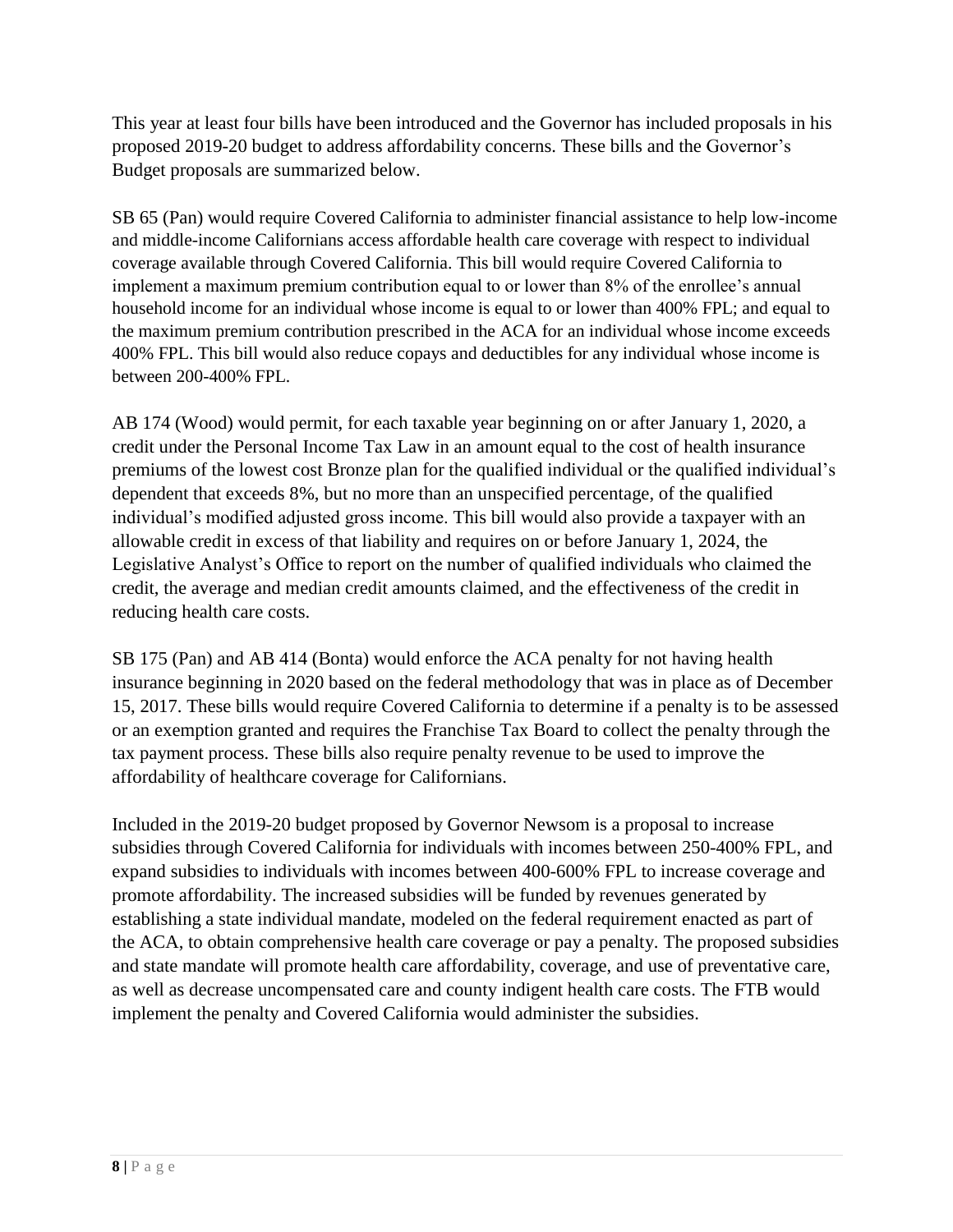This year at least four bills have been introduced and the Governor has included proposals in his proposed 2019-20 budget to address affordability concerns. These bills and the Governor's Budget proposals are summarized below.

SB 65 (Pan) would require Covered California to administer financial assistance to help low-income and middle-income Californians access affordable health care coverage with respect to individual coverage available through Covered California. This bill would require Covered California to implement a maximum premium contribution equal to or lower than 8% of the enrollee's annual household income for an individual whose income is equal to or lower than 400% FPL; and equal to the maximum premium contribution prescribed in the ACA for an individual whose income exceeds 400% FPL. This bill would also reduce copays and deductibles for any individual whose income is between 200-400% FPL.

AB 174 (Wood) would permit, for each taxable year beginning on or after January 1, 2020, a credit under the Personal Income Tax Law in an amount equal to the cost of health insurance premiums of the lowest cost Bronze plan for the qualified individual or the qualified individual's dependent that exceeds 8%, but no more than an unspecified percentage, of the qualified individual's modified adjusted gross income. This bill would also provide a taxpayer with an allowable credit in excess of that liability and requires on or before January 1, 2024, the Legislative Analyst's Office to report on the number of qualified individuals who claimed the credit, the average and median credit amounts claimed, and the effectiveness of the credit in reducing health care costs.

SB 175 (Pan) and AB 414 (Bonta) would enforce the ACA penalty for not having health insurance beginning in 2020 based on the federal methodology that was in place as of December 15, 2017. These bills would require Covered California to determine if a penalty is to be assessed or an exemption granted and requires the Franchise Tax Board to collect the penalty through the tax payment process. These bills also require penalty revenue to be used to improve the affordability of healthcare coverage for Californians.

Included in the 2019-20 budget proposed by Governor Newsom is a proposal to increase subsidies through Covered California for individuals with incomes between 250-400% FPL, and expand subsidies to individuals with incomes between 400-600% FPL to increase coverage and promote affordability. The increased subsidies will be funded by revenues generated by establishing a state individual mandate, modeled on the federal requirement enacted as part of the ACA, to obtain comprehensive health care coverage or pay a penalty. The proposed subsidies and state mandate will promote health care affordability, coverage, and use of preventative care, as well as decrease uncompensated care and county indigent health care costs. The FTB would implement the penalty and Covered California would administer the subsidies.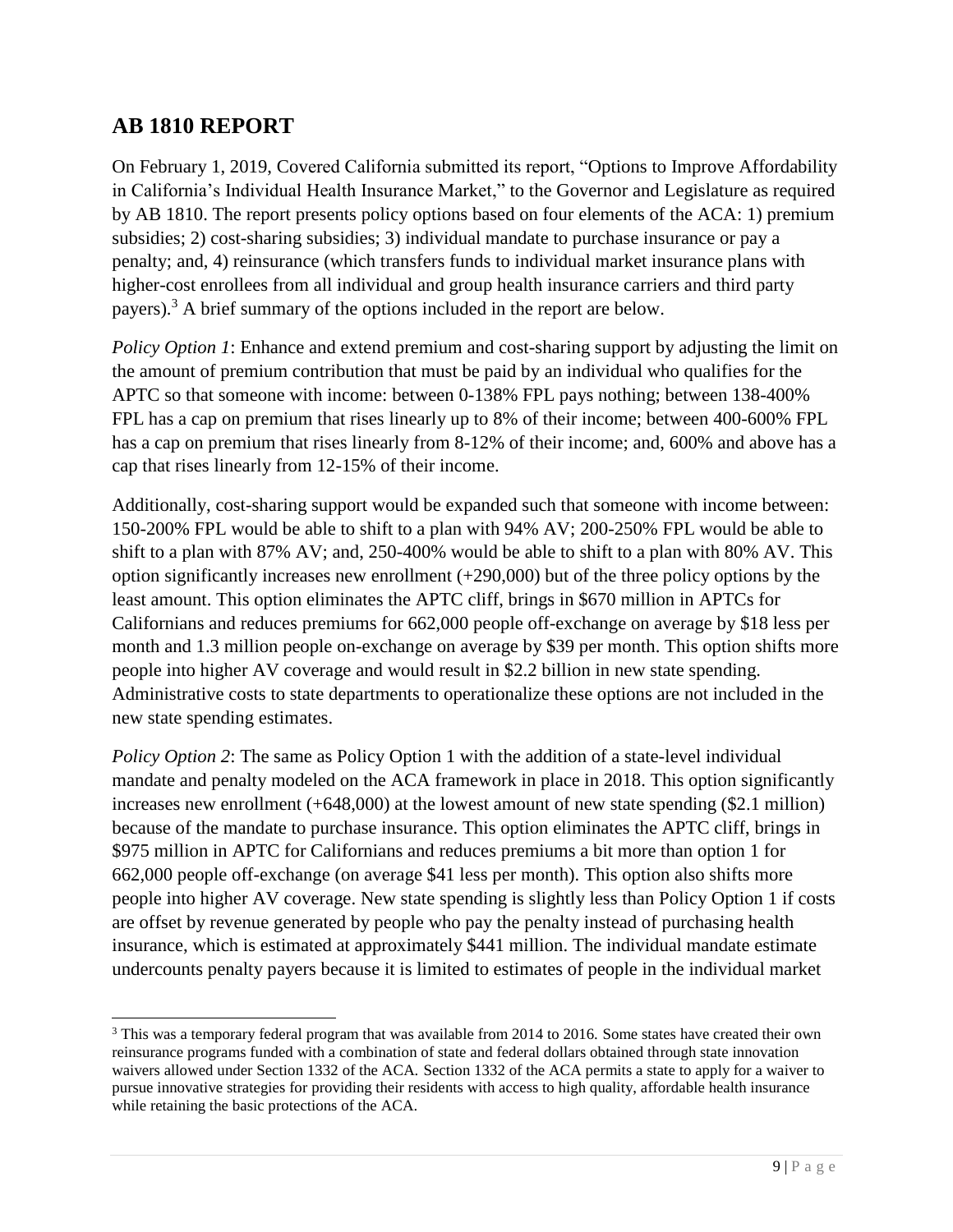#### **AB 1810 REPORT**

 $\overline{a}$ 

On February 1, 2019, Covered California submitted its report, "Options to Improve Affordability in California's Individual Health Insurance Market," to the Governor and Legislature as required by AB 1810. The report presents policy options based on four elements of the ACA: 1) premium subsidies; 2) cost-sharing subsidies; 3) individual mandate to purchase insurance or pay a penalty; and, 4) reinsurance (which transfers funds to individual market insurance plans with higher-cost enrollees from all individual and group health insurance carriers and third party payers).<sup>3</sup> A brief summary of the options included in the report are below.

*Policy Option 1*: Enhance and extend premium and cost-sharing support by adjusting the limit on the amount of premium contribution that must be paid by an individual who qualifies for the APTC so that someone with income: between 0-138% FPL pays nothing; between 138-400% FPL has a cap on premium that rises linearly up to 8% of their income; between 400-600% FPL has a cap on premium that rises linearly from 8-12% of their income; and, 600% and above has a cap that rises linearly from 12-15% of their income.

Additionally, cost-sharing support would be expanded such that someone with income between: 150-200% FPL would be able to shift to a plan with 94% AV; 200-250% FPL would be able to shift to a plan with 87% AV; and, 250-400% would be able to shift to a plan with 80% AV. This option significantly increases new enrollment  $(+290,000)$  but of the three policy options by the least amount. This option eliminates the APTC cliff, brings in \$670 million in APTCs for Californians and reduces premiums for 662,000 people off-exchange on average by \$18 less per month and 1.3 million people on-exchange on average by \$39 per month. This option shifts more people into higher AV coverage and would result in \$2.2 billion in new state spending. Administrative costs to state departments to operationalize these options are not included in the new state spending estimates.

*Policy Option 2*: The same as Policy Option 1 with the addition of a state-level individual mandate and penalty modeled on the ACA framework in place in 2018. This option significantly increases new enrollment (+648,000) at the lowest amount of new state spending (\$2.1 million) because of the mandate to purchase insurance. This option eliminates the APTC cliff, brings in \$975 million in APTC for Californians and reduces premiums a bit more than option 1 for 662,000 people off-exchange (on average \$41 less per month). This option also shifts more people into higher AV coverage. New state spending is slightly less than Policy Option 1 if costs are offset by revenue generated by people who pay the penalty instead of purchasing health insurance, which is estimated at approximately \$441 million. The individual mandate estimate undercounts penalty payers because it is limited to estimates of people in the individual market

<sup>&</sup>lt;sup>3</sup> This was a temporary federal program that was available from 2014 to 2016. Some states have created their own reinsurance programs funded with a combination of state and federal dollars obtained through state innovation waivers allowed under Section 1332 of the ACA. Section 1332 of the ACA permits a state to apply for a waiver to pursue innovative strategies for providing their residents with access to high quality, affordable health insurance while retaining the basic protections of the ACA.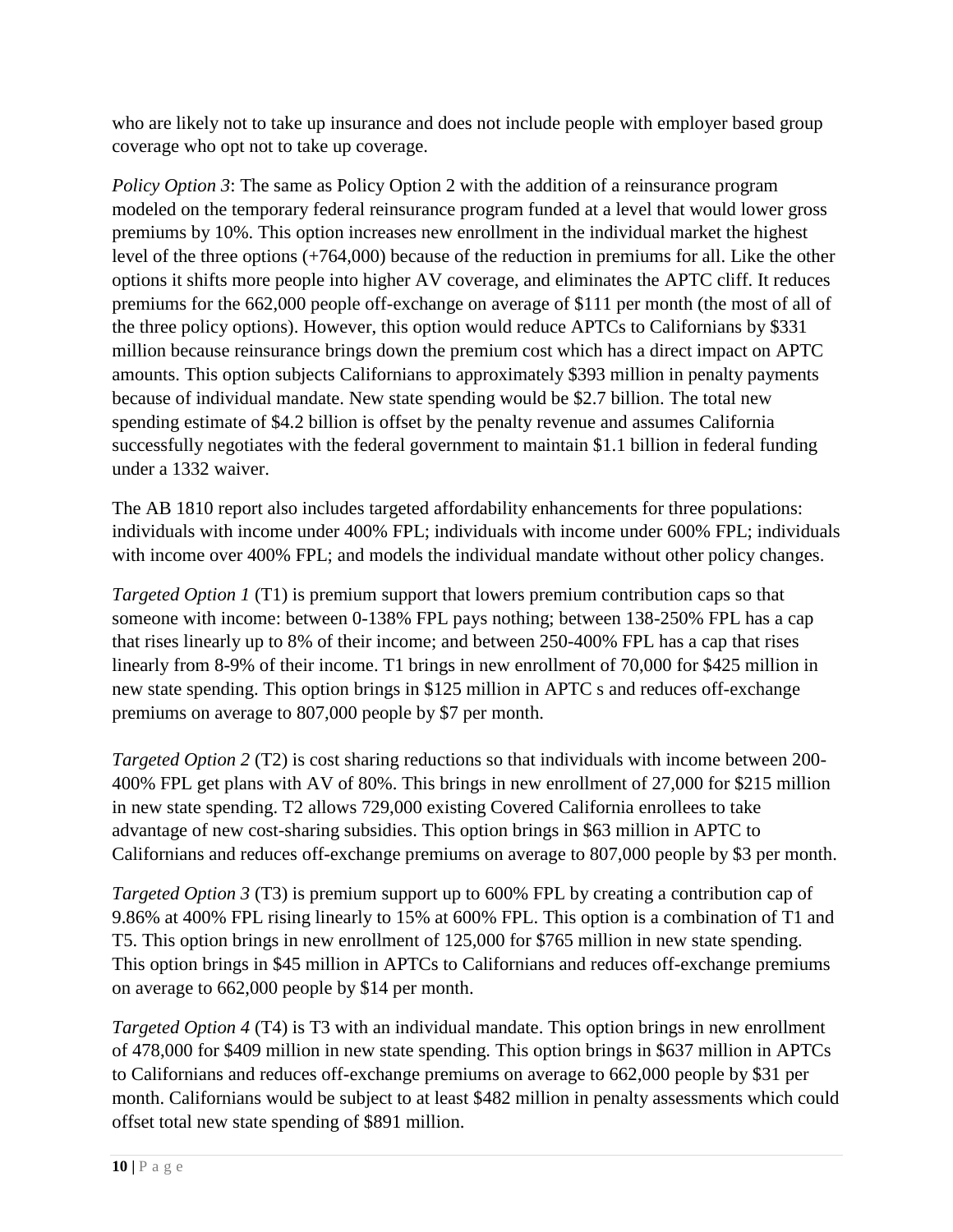who are likely not to take up insurance and does not include people with employer based group coverage who opt not to take up coverage.

*Policy Option 3*: The same as Policy Option 2 with the addition of a reinsurance program modeled on the temporary federal reinsurance program funded at a level that would lower gross premiums by 10%. This option increases new enrollment in the individual market the highest level of the three options (+764,000) because of the reduction in premiums for all. Like the other options it shifts more people into higher AV coverage, and eliminates the APTC cliff. It reduces premiums for the 662,000 people off-exchange on average of \$111 per month (the most of all of the three policy options). However, this option would reduce APTCs to Californians by \$331 million because reinsurance brings down the premium cost which has a direct impact on APTC amounts. This option subjects Californians to approximately \$393 million in penalty payments because of individual mandate. New state spending would be \$2.7 billion. The total new spending estimate of \$4.2 billion is offset by the penalty revenue and assumes California successfully negotiates with the federal government to maintain \$1.1 billion in federal funding under a 1332 waiver.

The AB 1810 report also includes targeted affordability enhancements for three populations: individuals with income under 400% FPL; individuals with income under 600% FPL; individuals with income over 400% FPL; and models the individual mandate without other policy changes.

*Targeted Option 1* (T1) is premium support that lowers premium contribution caps so that someone with income: between 0-138% FPL pays nothing; between 138-250% FPL has a cap that rises linearly up to 8% of their income; and between 250-400% FPL has a cap that rises linearly from 8-9% of their income. T1 brings in new enrollment of 70,000 for \$425 million in new state spending. This option brings in \$125 million in APTC s and reduces off-exchange premiums on average to 807,000 people by \$7 per month.

*Targeted Option 2* (T2) is cost sharing reductions so that individuals with income between 200- 400% FPL get plans with AV of 80%. This brings in new enrollment of 27,000 for \$215 million in new state spending. T2 allows 729,000 existing Covered California enrollees to take advantage of new cost-sharing subsidies. This option brings in \$63 million in APTC to Californians and reduces off-exchange premiums on average to 807,000 people by \$3 per month.

*Targeted Option 3* (T3) is premium support up to 600% FPL by creating a contribution cap of 9.86% at 400% FPL rising linearly to 15% at 600% FPL. This option is a combination of T1 and T5. This option brings in new enrollment of 125,000 for \$765 million in new state spending. This option brings in \$45 million in APTCs to Californians and reduces off-exchange premiums on average to 662,000 people by \$14 per month.

*Targeted Option 4* (T4) is T3 with an individual mandate. This option brings in new enrollment of 478,000 for \$409 million in new state spending. This option brings in \$637 million in APTCs to Californians and reduces off-exchange premiums on average to 662,000 people by \$31 per month. Californians would be subject to at least \$482 million in penalty assessments which could offset total new state spending of \$891 million.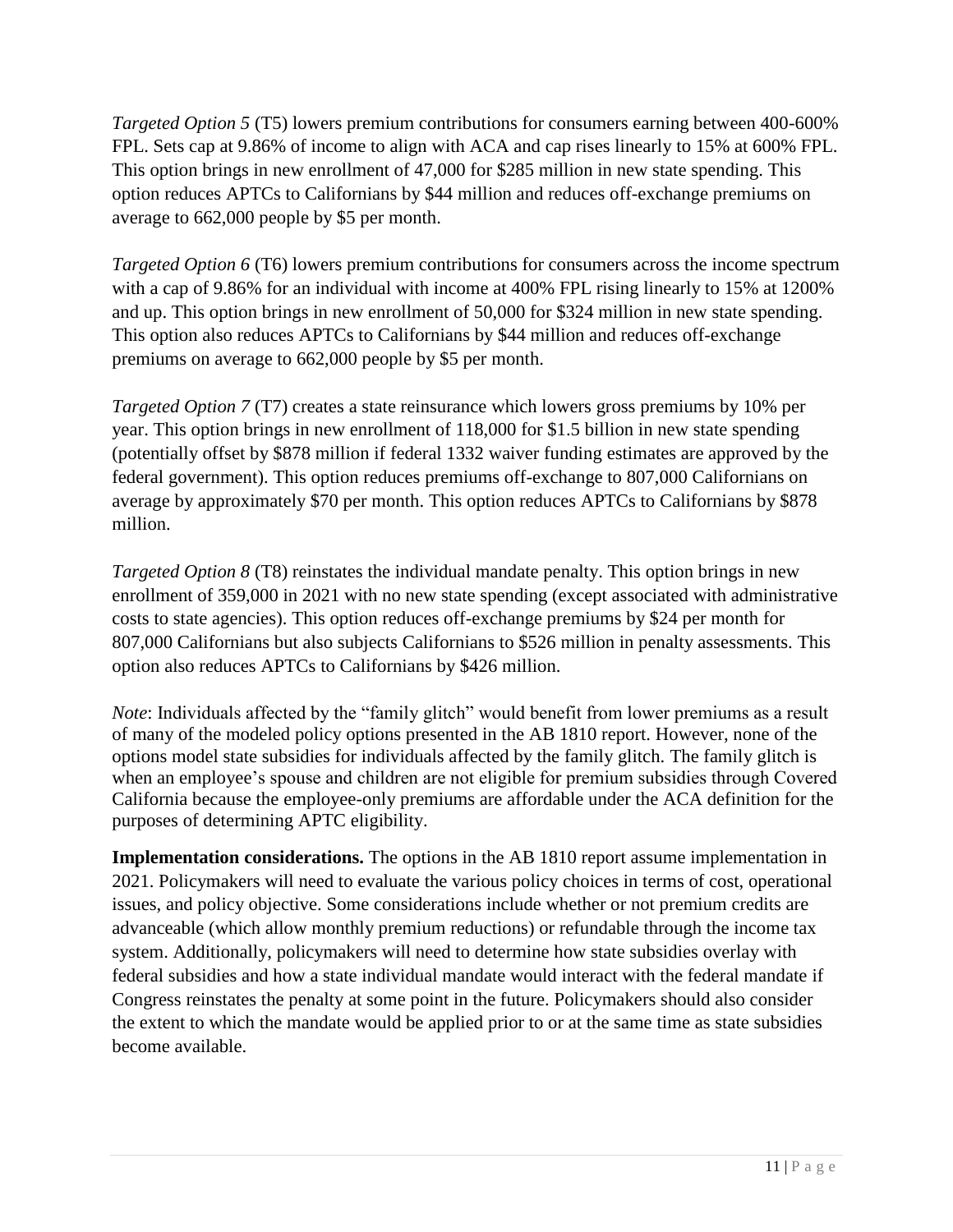*Targeted Option 5* (T5) lowers premium contributions for consumers earning between 400-600% FPL. Sets cap at 9.86% of income to align with ACA and cap rises linearly to 15% at 600% FPL. This option brings in new enrollment of 47,000 for \$285 million in new state spending. This option reduces APTCs to Californians by \$44 million and reduces off-exchange premiums on average to 662,000 people by \$5 per month.

*Targeted Option 6* (T6) lowers premium contributions for consumers across the income spectrum with a cap of 9.86% for an individual with income at 400% FPL rising linearly to 15% at 1200% and up. This option brings in new enrollment of 50,000 for \$324 million in new state spending. This option also reduces APTCs to Californians by \$44 million and reduces off-exchange premiums on average to 662,000 people by \$5 per month.

*Targeted Option 7* (T7) creates a state reinsurance which lowers gross premiums by 10% per year. This option brings in new enrollment of 118,000 for \$1.5 billion in new state spending (potentially offset by \$878 million if federal 1332 waiver funding estimates are approved by the federal government). This option reduces premiums off-exchange to 807,000 Californians on average by approximately \$70 per month. This option reduces APTCs to Californians by \$878 million.

*Targeted Option 8* (T8) reinstates the individual mandate penalty. This option brings in new enrollment of 359,000 in 2021 with no new state spending (except associated with administrative costs to state agencies). This option reduces off-exchange premiums by \$24 per month for 807,000 Californians but also subjects Californians to \$526 million in penalty assessments. This option also reduces APTCs to Californians by \$426 million.

*Note*: Individuals affected by the "family glitch" would benefit from lower premiums as a result of many of the modeled policy options presented in the AB 1810 report. However, none of the options model state subsidies for individuals affected by the family glitch. The family glitch is when an employee's spouse and children are not eligible for premium subsidies through Covered California because the employee-only premiums are affordable under the ACA definition for the purposes of determining APTC eligibility.

**Implementation considerations.** The options in the AB 1810 report assume implementation in 2021. Policymakers will need to evaluate the various policy choices in terms of cost, operational issues, and policy objective. Some considerations include whether or not premium credits are advanceable (which allow monthly premium reductions) or refundable through the income tax system. Additionally, policymakers will need to determine how state subsidies overlay with federal subsidies and how a state individual mandate would interact with the federal mandate if Congress reinstates the penalty at some point in the future. Policymakers should also consider the extent to which the mandate would be applied prior to or at the same time as state subsidies become available.